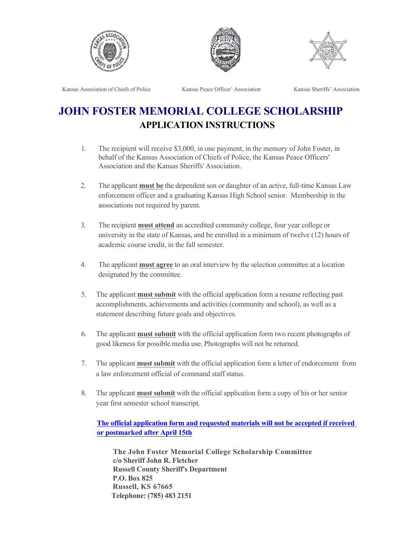





Kansas Association of Chiefs of Police Kansas Peace Officer' Association Kansas Sheriffs' Association

## **JOHN FOSTER MEMORIAL COLLEGE SCHOLARSHIP APPLICATION INSTRUCTIONS**

- 1. The recipient will receive \$3,000, in one payment, in the memory of John Foster, in behalf of the Kansas Association of Chiefs of Police, the Kansas Peace Officers' Association and the Kansas Sheriffs' Association.
- 2. The applicant **must be** the dependent son or daughter of an active, full-time Kansas Law enforcement officer and a graduating Kansas High School senior. Membership in the associations not required by parent.
- 3. The recipient **must attend** an accredited community college, four year college or university in the state of Kansas, and be enrolled in a minimum of twelve (12) hours of academic course credit, in the fall semester.
- 4. The applicant **must agree** to an oral interview by the selection committee at a location designated by the committee.
- 5. The applicant **must submit** with the official application form a resume reflecting past accomplishments, achievements and activities (community and school), as well as a statement describing future goals and objectives.
- 6. The applicant **must submit** with the official application form two recent photographs of good likeness for possible media use. Photographs will not be returned.
- 7. The applicant **must submit** with the official application form a letter of endorcement from a law enforcement official of command staff status.
- 8. The applicant **must submit** with the official application form a copy of his or her senior year first semester school transcript.

**The official application form and requested materials will not be accepted if received or postmarked after April 15th**

**The John Foster Memorial College Scholarship Committee c/o Sheriff John R. Fletcher Russell County Sheriff's Department P.O. Box 825 Russell, KS 67665 Telephone: (785) 483 2151**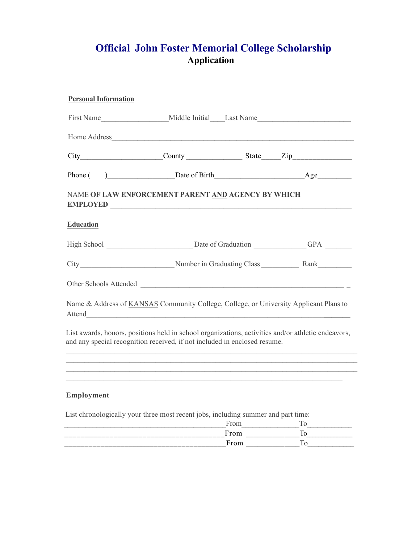## **Official John Foster Memorial College Scholarship Application**

| <b>Personal Information</b>                                                                     |                                                                                                                      |           |                                                                                                                                                                                        |
|-------------------------------------------------------------------------------------------------|----------------------------------------------------------------------------------------------------------------------|-----------|----------------------------------------------------------------------------------------------------------------------------------------------------------------------------------------|
|                                                                                                 |                                                                                                                      |           |                                                                                                                                                                                        |
|                                                                                                 |                                                                                                                      |           |                                                                                                                                                                                        |
|                                                                                                 |                                                                                                                      |           | $City$ $Country$ $Status$ $State$ $Zip$ $Zip$                                                                                                                                          |
| Phone (                                                                                         |                                                                                                                      |           |                                                                                                                                                                                        |
| NAME OF LAW ENFORCEMENT PARENT AND AGENCY BY WHICH<br>EMPLOYED                                  |                                                                                                                      |           |                                                                                                                                                                                        |
| <b>Education</b>                                                                                |                                                                                                                      |           |                                                                                                                                                                                        |
|                                                                                                 |                                                                                                                      |           |                                                                                                                                                                                        |
|                                                                                                 |                                                                                                                      |           |                                                                                                                                                                                        |
| Other Schools Attended                                                                          |                                                                                                                      |           |                                                                                                                                                                                        |
| Name & Address of KANSAS Community College, College, or University Applicant Plans to<br>Attend |                                                                                                                      |           |                                                                                                                                                                                        |
| and any special recognition received, if not included in enclosed resume.                       |                                                                                                                      |           | List awards, honors, positions held in school organizations, activities and/or athletic endeavors,<br>,我们也不会有一个人的人,我们也不会有一个人的人,我们也不会有一个人的人。""我们,我们也不会有一个人的人,我们也不会有一个人的人,我们也不会有一个人的人,我们 |
|                                                                                                 |                                                                                                                      |           |                                                                                                                                                                                        |
|                                                                                                 |                                                                                                                      |           |                                                                                                                                                                                        |
| Employment                                                                                      |                                                                                                                      |           |                                                                                                                                                                                        |
| List chronologically your three most recent jobs, including summer and part time:               |                                                                                                                      | From From |                                                                                                                                                                                        |
|                                                                                                 | <u> 1989 - Johann Barn, mars ann an t-Amhain Aonaich an t-Aonaich an t-Aonaich ann an t-Aonaich ann an t-Aonaich</u> | From      | To<br>To                                                                                                                                                                               |

\_\_\_\_\_\_\_\_\_\_\_\_\_\_\_\_\_\_\_\_\_\_\_\_\_\_\_\_\_\_\_\_\_\_\_\_\_\_\_\_From \_\_\_\_\_\_\_\_\_\_\_\_\_\_To\_\_\_\_\_\_\_\_\_\_\_\_\_